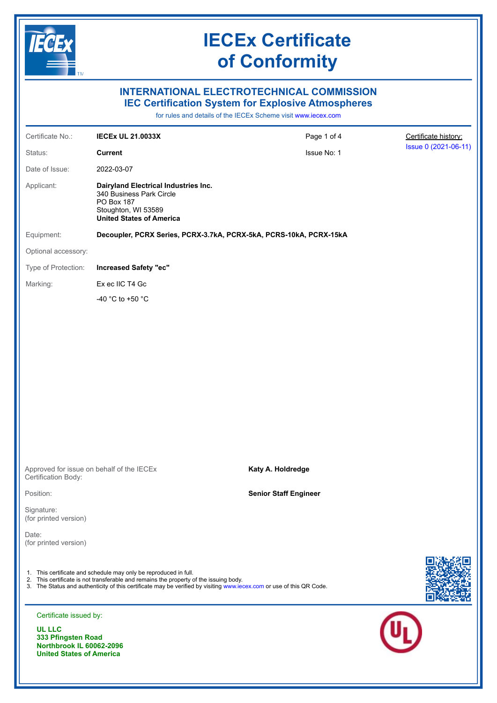

## **INTERNATIONAL ELECTROTECHNICAL COMMISSION IEC Certification System for Explosive Atmospheres**

for rules and details of the IECEx Scheme visit [www.iecex.com](https://www.iecex.com)

| Certificate No.:                    | <b>IECEX UL 21.0033X</b>                                                                                                                                                                                                                                                          | Page 1 of 4                  | Certificate history: |
|-------------------------------------|-----------------------------------------------------------------------------------------------------------------------------------------------------------------------------------------------------------------------------------------------------------------------------------|------------------------------|----------------------|
| Status:                             | <b>Current</b>                                                                                                                                                                                                                                                                    | Issue No: 1                  | Issue 0 (2021-06-11) |
| Date of Issue:                      | 2022-03-07                                                                                                                                                                                                                                                                        |                              |                      |
| Applicant:                          | Dairyland Electrical Industries Inc.<br>340 Business Park Circle<br>PO Box 187<br>Stoughton, WI 53589<br><b>United States of America</b>                                                                                                                                          |                              |                      |
| Equipment:                          | Decoupler, PCRX Series, PCRX-3.7kA, PCRX-5kA, PCRS-10kA, PCRX-15kA                                                                                                                                                                                                                |                              |                      |
| Optional accessory:                 |                                                                                                                                                                                                                                                                                   |                              |                      |
| Type of Protection:                 | <b>Increased Safety "ec"</b>                                                                                                                                                                                                                                                      |                              |                      |
| Marking:                            | Ex ec IIC T4 Gc                                                                                                                                                                                                                                                                   |                              |                      |
|                                     | -40 °C to +50 °C                                                                                                                                                                                                                                                                  |                              |                      |
|                                     |                                                                                                                                                                                                                                                                                   |                              |                      |
|                                     |                                                                                                                                                                                                                                                                                   |                              |                      |
|                                     |                                                                                                                                                                                                                                                                                   |                              |                      |
|                                     |                                                                                                                                                                                                                                                                                   |                              |                      |
|                                     |                                                                                                                                                                                                                                                                                   |                              |                      |
|                                     |                                                                                                                                                                                                                                                                                   |                              |                      |
|                                     |                                                                                                                                                                                                                                                                                   |                              |                      |
|                                     |                                                                                                                                                                                                                                                                                   |                              |                      |
|                                     |                                                                                                                                                                                                                                                                                   |                              |                      |
| Certification Body:                 | Approved for issue on behalf of the IECEx                                                                                                                                                                                                                                         | Katy A. Holdredge            |                      |
| Position:                           |                                                                                                                                                                                                                                                                                   | <b>Senior Staff Engineer</b> |                      |
| Signature:<br>(for printed version) |                                                                                                                                                                                                                                                                                   |                              |                      |
| Date:<br>(for printed version)      |                                                                                                                                                                                                                                                                                   |                              |                      |
|                                     | 1. This certificate and schedule may only be reproduced in full.<br>2. This certificate is not transferable and remains the property of the issuing body.<br>3. The Status and authenticity of this certificate may be verified by visiting www.iecex.com or use of this QR Code. |                              |                      |
| Certificate issued by:              |                                                                                                                                                                                                                                                                                   |                              |                      |
| <b>UL LLC</b><br>333 Pfingsten Road |                                                                                                                                                                                                                                                                                   |                              |                      |

**Northbrook IL 60062-2096 United States of America**

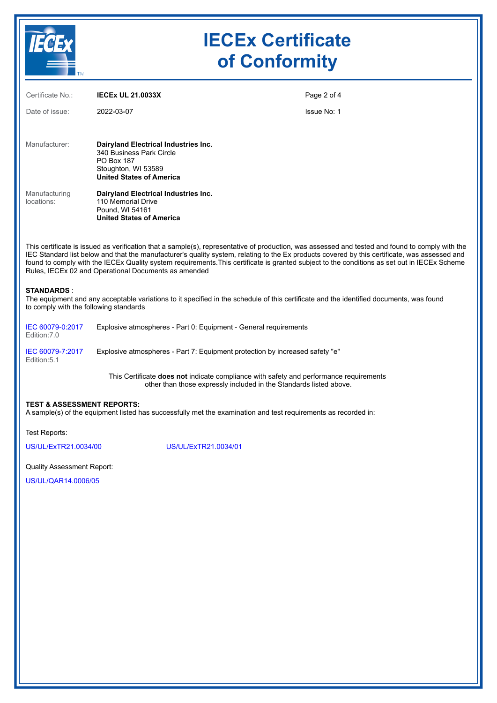

| Certificate No.:            | <b>IECEX UL 21.0033X</b>                                                                                                                        | Page 2 of 4        |
|-----------------------------|-------------------------------------------------------------------------------------------------------------------------------------------------|--------------------|
| Date of issue:              | 2022-03-07                                                                                                                                      | <b>Issue No: 1</b> |
| Manufacturer:               | Dairyland Electrical Industries Inc.<br>340 Business Park Circle<br><b>PO Box 187</b><br>Stoughton, WI 53589<br><b>United States of America</b> |                    |
| Manufacturing<br>locations: | Dairyland Electrical Industries Inc.<br>110 Memorial Drive<br>Pound, WI 54161<br><b>United States of America</b>                                |                    |

This certificate is issued as verification that a sample(s), representative of production, was assessed and tested and found to comply with the IEC Standard list below and that the manufacturer's quality system, relating to the Ex products covered by this certificate, was assessed and found to comply with the IECEx Quality system requirements.This certificate is granted subject to the conditions as set out in IECEx Scheme Rules, IECEx 02 and Operational Documents as amended

#### **STANDARDS** :

The equipment and any acceptable variations to it specified in the schedule of this certificate and the identified documents, was found to comply with the following standards

| IEC 60079-0:2017<br>Edition:7.0 | Explosive atmospheres - Part 0: Equipment - General requirements             |  |
|---------------------------------|------------------------------------------------------------------------------|--|
| IEC 60079-7:2017                | Explosive atmospheres - Part 7: Equipment protection by increased safety "e" |  |

Edition:5.1

This Certificate **does not** indicate compliance with safety and performance requirements other than those expressly included in the Standards listed above.

#### **TEST & ASSESSMENT REPORTS:**

A sample(s) of the equipment listed has successfully met the examination and test requirements as recorded in:

Test Reports:

[US/UL/ExTR21.0034/00](https://www.iecex-certs.com/#/deliverables/REPORT/72066/view) [US/UL/ExTR21.0034/01](https://www.iecex-certs.com/#/deliverables/REPORT/81763/view)

#### Quality Assessment Report:

[US/UL/QAR14.0006/05](https://www.iecex-certs.com/#/deliverables/REPORT/76312/view)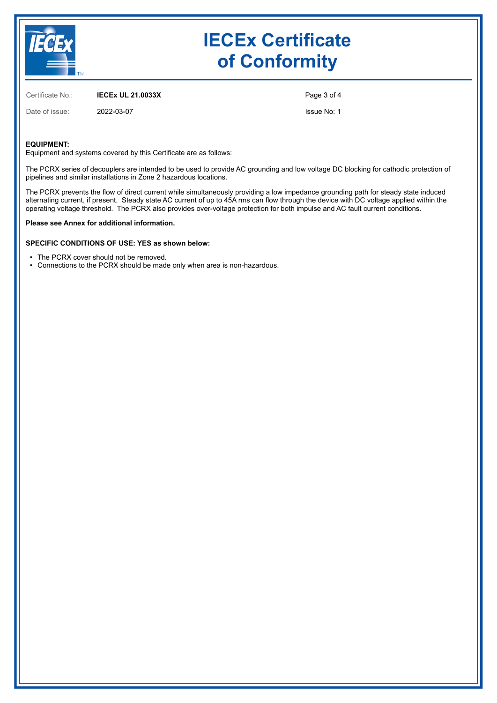

Certificate No.: **IECEx UL 21.0033X**

Date of issue: 2022-03-07

Page 3 of 4

Issue No: 1

#### **EQUIPMENT:**

Equipment and systems covered by this Certificate are as follows:

The PCRX series of decouplers are intended to be used to provide AC grounding and low voltage DC blocking for cathodic protection of pipelines and similar installations in Zone 2 hazardous locations.

The PCRX prevents the flow of direct current while simultaneously providing a low impedance grounding path for steady state induced alternating current, if present. Steady state AC current of up to 45A rms can flow through the device with DC voltage applied within the operating voltage threshold. The PCRX also provides over-voltage protection for both impulse and AC fault current conditions.

#### **Please see Annex for additional information.**

#### **SPECIFIC CONDITIONS OF USE: YES as shown below:**

- The PCRX cover should not be removed.
- Connections to the PCRX should be made only when area is non-hazardous.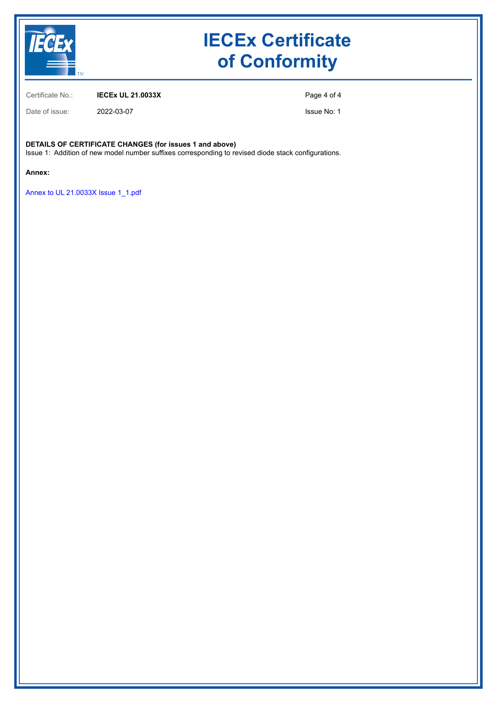

Certificate No.: **IECEx UL 21.0033X**

Date of issue: 2022-03-07

Page 4 of 4

Issue No: 1

## **DETAILS OF CERTIFICATE CHANGES (for issues 1 and above)**

Issue 1: Addition of new model number suffixes corresponding to revised diode stack configurations.

#### **Annex:**

[Annex to UL 21.0033X Issue 1\\_1.pdf](https://www.iecex-certs.com/#/deliverables/CERT/59728/view)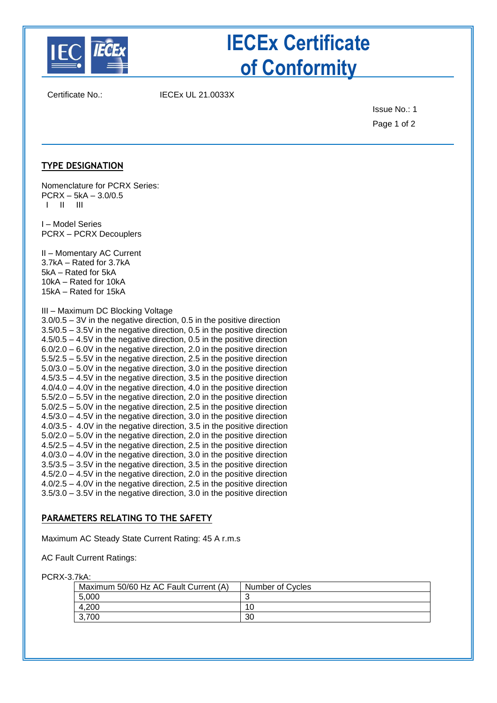

Certificate No.: IECEx UL 21.0033X

Issue No.: 1 Page 1 of 2

## **TYPE DESIGNATION**

Nomenclature for PCRX Series:  $PCRX - 5kA - 3.0/0.5$ I II III

I – Model Series PCRX – PCRX Decouplers

II – Momentary AC Current 3.7kA – Rated for 3.7kA 5kA – Rated for 5kA 10kA – Rated for 10kA 15kA – Rated for 15kA

### III – Maximum DC Blocking Voltage

3.0/0.5 – 3V in the negative direction, 0.5 in the positive direction 3.5/0.5 – 3.5V in the negative direction, 0.5 in the positive direction 4.5/0.5 – 4.5V in the negative direction, 0.5 in the positive direction 6.0/2.0 – 6.0V in the negative direction, 2.0 in the positive direction 5.5/2.5 – 5.5V in the negative direction, 2.5 in the positive direction 5.0/3.0 – 5.0V in the negative direction, 3.0 in the positive direction 4.5/3.5 – 4.5V in the negative direction, 3.5 in the positive direction 4.0/4.0 – 4.0V in the negative direction, 4.0 in the positive direction 5.5/2.0 – 5.5V in the negative direction, 2.0 in the positive direction 5.0/2.5 – 5.0V in the negative direction, 2.5 in the positive direction 4.5/3.0 – 4.5V in the negative direction, 3.0 in the positive direction 4.0/3.5 - 4.0V in the negative direction, 3.5 in the positive direction 5.0/2.0 – 5.0V in the negative direction, 2.0 in the positive direction 4.5/2.5 – 4.5V in the negative direction, 2.5 in the positive direction 4.0/3.0 – 4.0V in the negative direction, 3.0 in the positive direction 3.5/3.5 – 3.5V in the negative direction, 3.5 in the positive direction 4.5/2.0 – 4.5V in the negative direction, 2.0 in the positive direction 4.0/2.5 – 4.0V in the negative direction, 2.5 in the positive direction 3.5/3.0 – 3.5V in the negative direction, 3.0 in the positive direction

### **PARAMETERS RELATING TO THE SAFETY**

Maximum AC Steady State Current Rating: 45 A r.m.s

AC Fault Current Ratings:

PCRX-3.7kA:

| INO.                                  |                  |
|---------------------------------------|------------------|
| Maximum 50/60 Hz AC Fault Current (A) | Number of Cycles |
| 5.000                                 |                  |
| 4.200                                 | 10               |
| 3,700                                 | 30               |
|                                       |                  |